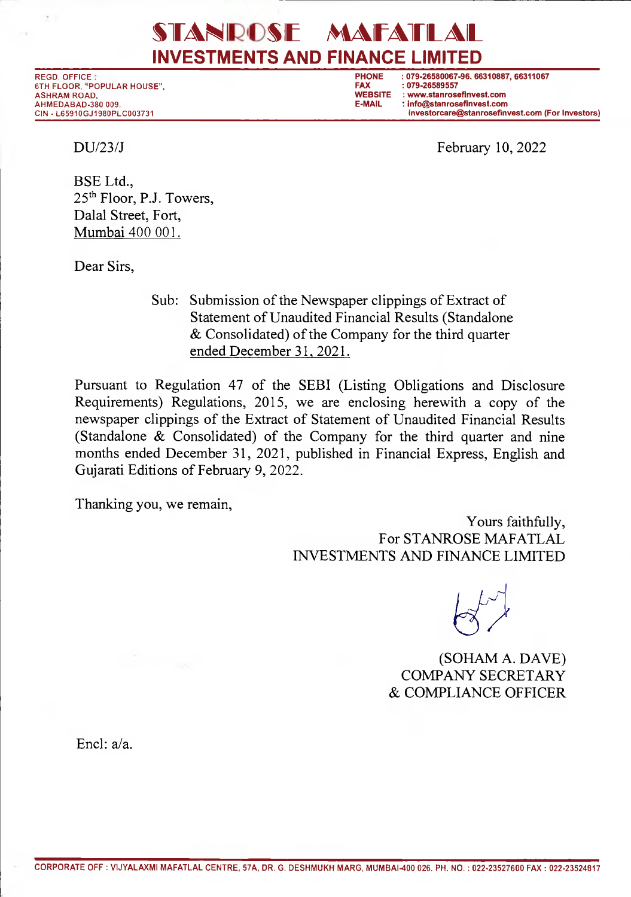## STANROSE MAFATLAL **INVESTMENTS AND FINANCE LIMITED**

6TH FLOOR, "POPULAR HOUSE", **FAX : 079-26589557**  AHMEDABAD-380 009.<br>CIN - L65910GJ1980PLC003731

REGD. OFFICE: **PHONE : 079-26580067-96. 66310887, 66311067**  WEBSITE : www.stanrosefinvest.com<br>E-MAIL : info@stanrosefinvest.com investorcare@stanrosefinvest.com (For Investors)

 $DU/23/J$  February 10, 2022

BSE Ltd., 25<sup>th</sup> Floor, P.J. Towers, Dalal Street, Fort, Mumbai 400 001.

Dear Sirs,

Sub: Submission of the Newspaper clippings of Extract of Statement of Unaudited Financial Results (Standalone & Consolidated) of the Company for the third quarter ended December 31, 2021.

Pursuant to Regulation 47 of the SEBI (Listing Obligations and Disclosure Requirements) Regulations, 2015, we are enclosing herewith a copy of the newspaper clippings of the Extract of Statement of Unaudited Financial Results (Standalone & Consolidated) of the Company for the third quarter and nine months ended December 31, 2021, published in Financial Express, English and Gujarati Editions of February 9, 2022.

Thanking you, we remain,

Yours faithfully, For STANROSE MAFATLAL INVESTMENTS AND FINANCE LIMITED

 $\bigotimes^{\infty}$ 

(SOHAM A. DAVE) COMPANY SECRETARY & COMPLIANCE OFFICER

End: a/a.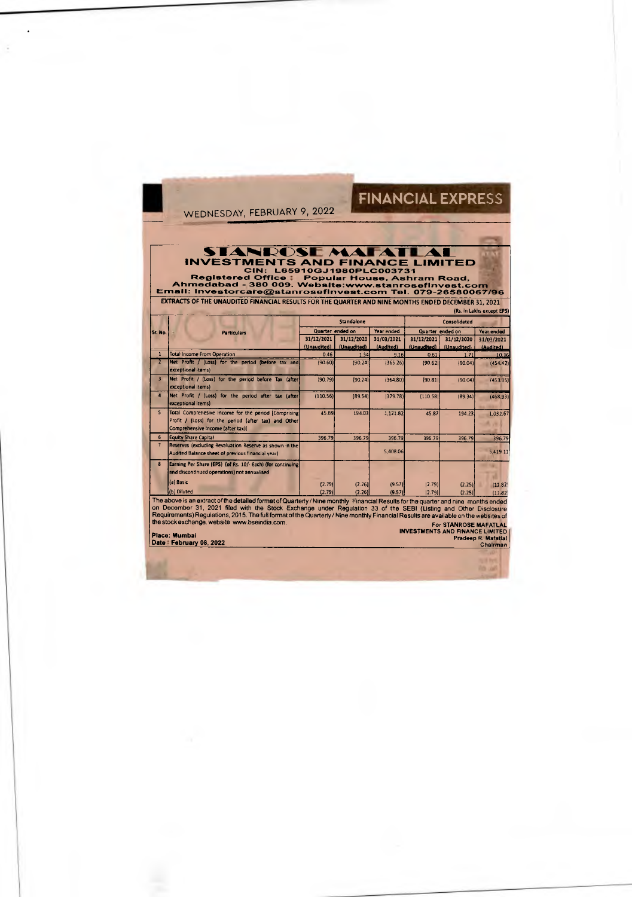## FINANCIAL EXPRESS

WEDNESDAY, FEBRUARY 9, 2022

STANROSE MATELIMITED<br>
INVESTMENTS AND FINANCE LIMITED<br>
Registered Office : Popular House, Ashram Road,<br>
Ahmedabad - 380 009. Website:www.stanrosefinvest.com<br>
Email: Investorcare@stanrosefinvest.com Tel. 079-26580067/96<br>
EX

| (Rs. in Lakhs except EPS)                                                                                             |                        |  |                  |     |
|-----------------------------------------------------------------------------------------------------------------------|------------------------|--|------------------|-----|
| ----                                                                                                                  |                        |  | ---------<br>--- | --- |
| <b>Contract Contract Contract Contract Contract Contract Contract Contract Contract Contract Contract Contract Co</b> | <b>Service Service</b> |  |                  |     |

|                |                                                                                                                                                    |                           | Standalone                |                         |                           | Consolidated              |                    |
|----------------|----------------------------------------------------------------------------------------------------------------------------------------------------|---------------------------|---------------------------|-------------------------|---------------------------|---------------------------|--------------------|
| Sr. No.        | <b>Particulars</b>                                                                                                                                 | Quarter ended on          |                           | Year ended              |                           | Quarter ended on          | Year ended         |
|                |                                                                                                                                                    | 31/12/2021<br>(Unaudited) | 31/12/2020<br>(Unaudited) | 31/03/2021<br>(Audited) | 31/12/2021<br>(Unaudited) | 31/12/2020<br>(Unaudited) | 31/03/2021         |
|                | <b>Total Income From Operation</b>                                                                                                                 | 0.46                      | 1.34                      | 9.16                    | 0.61                      | 1.71                      | (Audited)<br>10.36 |
|                | Net Profit / (Loss) for the period (before tax and<br>exceptional items)                                                                           | (90.60)                   | (90.24)                   | (365.26)                | (90.62)                   | (90.04)                   | (454.42)           |
| 3              | Net Profit / (Loss) for the period before Tax (after)<br>exceptional items)                                                                        | (90.79)                   | (90.24)                   | (364.80)                | (90.81)                   | (90.04)                   | (453.95)           |
| $\overline{4}$ | Net Profit / (Loss) for the period after tax (after<br>exceptional items)                                                                          | (110.56)                  | (89.54)                   | (379.78)                | (110.58)                  | (89.34)                   | (468.93)           |
| $\mathsf{S}$   | Total Comprehesive Income for the period [Comprising]<br>Profit / (Loss) for the period (after tax) and Other<br>Comprehensive Income (after tax)] | 45.89                     | 194.03                    | 1,121.82                | 45.87                     | 194.23                    | 1.032.67           |
| 6              | <b>Equity Share Capital</b>                                                                                                                        | 396.79                    | 396.79                    | 396.79                  | 396.79                    | 396.79                    | 396.79             |
|                | Reserves (excluding Revaluation Reserve as shown in the<br>Audited Balance sheet of previous financial year)                                       |                           |                           | 5,408.06                |                           |                           | 5,419.11           |
| R.             | Earning Per Share (EPS) (of Rs. 10/- Each) (for continuing<br>and discontinued operations) not annualised                                          |                           |                           |                         |                           |                           |                    |
|                | (a) Basic                                                                                                                                          | (2.79)                    | (2.26)                    | (9.57)                  | (2.79)                    | (2.25)                    | (11.82)            |
|                | (b) Diluted                                                                                                                                        | (2.79)                    | (2.26)                    | (9.57)                  | (2.79)                    | (2.25)                    | (11.82)            |
|                | The above is an extract of the detailed format of Quarterly / Nine monthly Financial Results for the quarter and nine months ended                 |                           |                           |                         |                           |                           |                    |

(b) Diluted<br>
The above is an extract of the detailed format of Quarterly / Nine monthly Financial Results for the quarter and nine months endes<br>
on December 31, 2021 filed with the Stock Exchange under Regulation 33 of the

TO UP